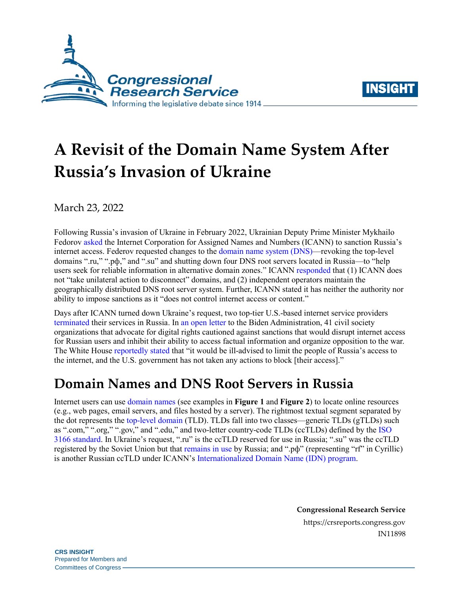



# **A Revisit of the Domain Name System After Russia's Invasion of Ukraine**

March 23, 2022

Following Russia's invasion of Ukraine in February 2022, Ukrainian Deputy Prime Minister Mykhailo Fedorov [asked](https://eump.org/media/2022/Goran-Marby.pdf) the Internet Corporation for Assigned Names and Numbers (ICANN) to sanction Russia's internet access. Federov requested changes to the [domain name system](https://www.icann.org/en/icann-acronyms-and-terms/domain-name-system-en) (DNS)—revoking the top-level domains ".ru," ".pф," and ".su" and shutting down four DNS root servers located in Russia—to "help users seek for reliable information in alternative domain zones." ICANN [responded](https://www.icann.org/en/system/files/correspondence/marby-to-fedorov-02mar22-en.pdf) that (1) ICANN does not "take unilateral action to disconnect" domains, and (2) independent operators maintain the geographically distributed DNS root server system. Further, ICANN stated it has neither the authority nor ability to impose sanctions as it "does not control internet access or content."

Days after ICANN turned down Ukraine's request, two top-tier U.S.-based internet service providers [terminated](https://www.kentik.com/blog/cogent-disconnects-from-russia/) their services in Russia. In [an open letter](https://www.accessnow.org/cms/assets/uploads/2022/03/Civil-society-letter-to-Biden-Admin-re-Russia-sanctions-and-internet-access_10-March-2022-1.pdf) to the Biden Administration, 41 civil society organizations that advocate for digital rights cautioned against sanctions that would disrupt internet access for Russian users and inhibit their ability to access factual information and organize opposition to the war. The White House [reportedly stated](https://www.axios.com/groups-warn-biden-administration-russian-internet-cutoff-dad0115d-ce55-4014-a965-1d6bb97a9c0b.html) that "it would be ill-advised to limit the people of Russia's access to the internet, and the U.S. government has not taken any actions to block [their access]."

## **Domain Names and DNS Root Servers in Russia**

Internet users can us[e domain names](https://www.icann.org/en/icann-acronyms-and-terms/domain-name-en) (see examples in **[Figure 1](#page-1-0)** and **[Figure 2](#page-1-1)**) to locate online resources (e.g., web pages, email servers, and files hosted by a server). The rightmost textual segment separated by the dot represents the [top-level domain](https://www.icann.org/en/icann-acronyms-and-terms/top-level-domain-en) (TLD). TLDs fall into two classes—generic TLDs (gTLDs) such as ".com," ".org," ".gov," and ".edu," and two-letter country-code TLDs (ccTLDs) defined by the [ISO](https://www.iso.org/obp/ui/#search)  [3166 standard.](https://www.iso.org/obp/ui/#search) In Ukraine's request, ".ru" is the ccTLD reserved for use in Russia; ".su" was the ccTLD registered by the Soviet Union but that [remains in use](https://ripn.su/domen-su/) by Russia; and ".pф" (representing "rf" in Cyrillic) is another Russian ccTLD under ICANN's [Internationalized Domain Name \(IDN\) program.](https://www.icann.org/resources/pages/idn-2012-02-25-en)

> **Congressional Research Service** https://crsreports.congress.gov IN11898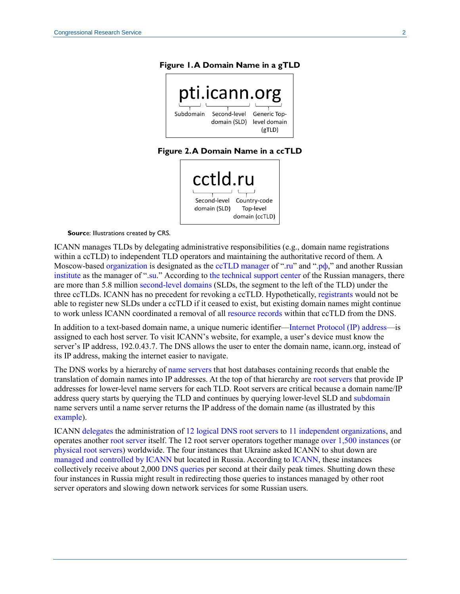#### <span id="page-1-0"></span>**Figure 1. A Domain Name in a gTLD**



#### **Figure 2. A Domain Name in a ccTLD**



<span id="page-1-1"></span>**Source: Illustrations created by CRS.** 

ICANN manages TLDs by delegating administrative responsibilities (e.g., domain name registrations within a ccTLD) to independent TLD operators and maintaining the authoritative record of them. A Moscow-based [organization](https://cctld.ru/en/domains/about/) is designated as the [ccTLD manager](https://www.icann.org/en/system/files/files/icann-ru-letters-25mar07-en.pdf) of [".ru"](https://www.iana.org/domains/root/db/ru.html) and ".p $\phi$ ," and another Russian [institute](https://ripn.su/) as the manager of [".su.](https://www.iana.org/domains/root/db/su.html)" According to [the technical support center](https://statdom.ru/) of the Russian managers, there are more than 5.8 million [second-level domains](https://www.icann.org/en/icann-acronyms-and-terms/second-level-domain-en) (SLDs, the segment to the left of the TLD) under the three ccTLDs. ICANN has no precedent for revoking a ccTLD. Hypothetically, [registrants](https://www.icann.org/en/icann-acronyms-and-terms/registrant-en) would not be able to register new SLDs under a ccTLD if it ceased to exist, but existing domain names might continue to work unless ICANN coordinated a removal of all [resource records](https://www.icann.org/en/icann-acronyms-and-terms/resource-record-en) within that ccTLD from the DNS.

In addition to a text-based domain name, a unique numeric identifier[—Internet Protocol \(IP\) address—](https://www.icann.org/en/icann-acronyms-and-terms/internet-protocol-address-en)is assigned to each host server. To visit ICANN's website, for example, a user's device must know the server's IP address, 192.0.43.7. The DNS allows the user to enter the domain name, icann.org, instead of its IP address, making the internet easier to navigate.

The DNS works by a hierarchy of [name servers](https://www.icann.org/en/icann-acronyms-and-terms/name-server-en) that host databases containing records that enable the translation of domain names into IP addresses. At the top of that hierarchy are [root servers](https://www.icann.org/en/icann-acronyms-and-terms/root-server-en) that provide IP addresses for lower-level name servers for each TLD. Root servers are critical because a domain name/IP address query starts by querying the TLD and continues by querying lower-level SLD and [subdomain](https://www.icann.org/en/icann-acronyms-and-terms/subdomain-en) name servers until a name server returns the IP address of the domain name (as illustrated by this [example\)](https://open.lib.umn.edu/app/uploads/sites/4/2015/03/f94d2529652d348ccc462c652b0fcb32.jpg).

ICANN [delegates](https://www.icann.org/resources/pages/governance/bylaws-en#XI-2.3) the administration of 12 [logical DNS root servers](https://www.iana.org/domains/root/servers) to 11 [independent organizations,](https://www.icann.org/groups/rssac) and operates another [root server](https://www.dns.icann.org/imrs/) itself. The 12 root server operators together manage [over 1,500](https://root-servers.org/) instances (or [physical root servers\)](https://www.icann.org/en/icann-acronyms-and-terms/root-server-instance-en) worldwide. The four instances that Ukraine asked ICANN to shut down are managed and controlled [by ICANN](https://www.dns.icann.org/imrs/faq/) but located in Russia. According to [ICANN,](https://stats.dns.icann.org/stats/d/wom-ext-5minagg-querystatsdetail/query-statistics-detail?orgId=1&var-Server=IMRS&var-Region=All&var-Country=RU&var-City=Moscow&var-City=Saint%20Petersburg&var-Instance=All&from=now-30d&to=now-1h) these instances collectively receive about 2,000 [DNS queries](https://www.icann.org/en/icann-acronyms-and-terms/domain-name-system-query-en) per second at their daily peak times. Shutting down these four instances in Russia might result in redirecting those queries to instances managed by other root server operators and slowing down network services for some Russian users.